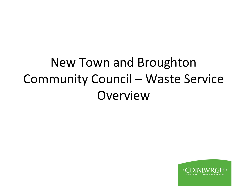### New Town and Broughton Community Council – Waste Service Overview

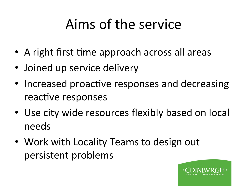# Aims of the service

- A right first time approach across all areas
- Joined up service delivery
- Increased proactive responses and decreasing reactive responses
- Use city wide resources flexibly based on local needs
- Work with Locality Teams to design out persistent problems

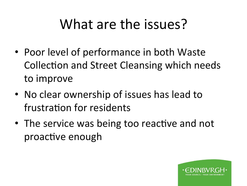### What are the issues?

- Poor level of performance in both Waste Collection and Street Cleansing which needs to improve
- No clear ownership of issues has lead to frustration for residents
- The service was being too reactive and not proactive enough

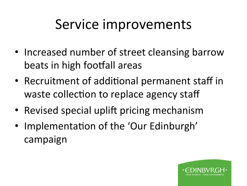### Service improvements

- Increased number of street cleansing barrow beats in high footfall areas
- Recruitment of additional permanent staff in waste collection to replace agency staff
- Revised special uplift pricing mechanism
- Implementation of the 'Our Edinburgh' campaign

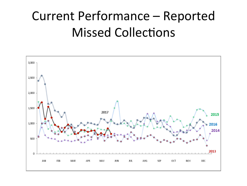### **Current Performance - Reported Missed Collections**

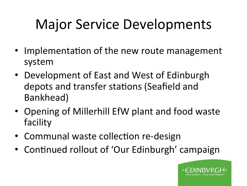# **Major Service Developments**

- Implementation of the new route management system
- Development of East and West of Edinburgh depots and transfer stations (Seafield and Bankhead)
- Opening of Millerhill EfW plant and food waste facility
- Communal waste collection re-design
- Continued rollout of 'Our Edinburgh' campaign

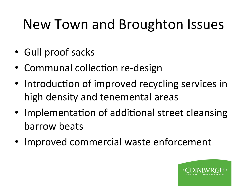# New Town and Broughton Issues

- Gull proof sacks
- Communal collection re-design
- Introduction of improved recycling services in high density and tenemental areas
- Implementation of additional street cleansing barrow beats
- Improved commercial waste enforcement

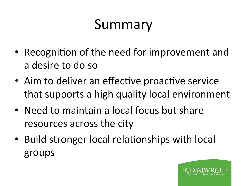# Summary

- Recognition of the need for improvement and a desire to do so
- Aim to deliver an effective proactive service that supports a high quality local environment
- Need to maintain a local focus but share resources across the city
- Build stronger local relationships with local groups